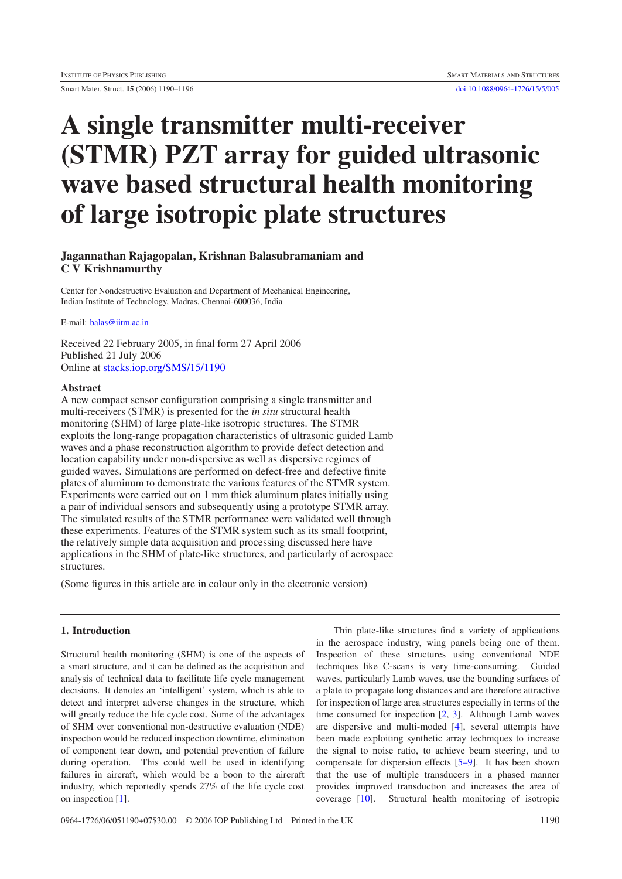# **A single transmitter multi-receiver (STMR) PZT array for guided ultrasonic wave based structural health monitoring of large isotropic plate structures**

## **Jagannathan Rajagopalan, Krishnan Balasubramaniam and C V Krishnamurthy**

Center for Nondestructive Evaluation and Department of Mechanical Engineering, Indian Institute of Technology, Madras, Chennai-600036, India

E-mail: [balas@iitm.ac.in](mailto:balas@iitm.ac.in)

Received 22 February 2005, in final form 27 April 2006 Published 21 July 2006 Online at [stacks.iop.org/SMS/15/1190](http://stacks.iop.org/SMS/15/1190)

#### **Abstract**

A new compact sensor configuration comprising a single transmitter and multi-receivers (STMR) is presented for the *in situ* structural health monitoring (SHM) of large plate-like isotropic structures. The STMR exploits the long-range propagation characteristics of ultrasonic guided Lamb waves and a phase reconstruction algorithm to provide defect detection and location capability under non-dispersive as well as dispersive regimes of guided waves. Simulations are performed on defect-free and defective finite plates of aluminum to demonstrate the various features of the STMR system. Experiments were carried out on 1 mm thick aluminum plates initially using a pair of individual sensors and subsequently using a prototype STMR array. The simulated results of the STMR performance were validated well through these experiments. Features of the STMR system such as its small footprint, the relatively simple data acquisition and processing discussed here have applications in the SHM of plate-like structures, and particularly of aerospace structures.

(Some figures in this article are in colour only in the electronic version)

## **1. Introduction**

Structural health monitoring (SHM) is one of the aspects of a smart structure, and it can be defined as the acquisition and analysis of technical data to facilitate life cycle management decisions. It denotes an 'intelligent' system, which is able to detect and interpret adverse changes in the structure, which will greatly reduce the life cycle cost. Some of the advantages of SHM over conventional non-destructive evaluation (NDE) inspection would be reduced inspection downtime, elimination of component tear down, and potential prevention of failure during operation. This could well be used in identifying failures in aircraft, which would be a boon to the aircraft industry, which reportedly spends 27% of the life cycle cost on inspection [\[1\]](#page-6-0).

Thin plate-like structures find a variety of applications in the aerospace industry, wing panels being one of them. Inspection of these structures using conventional NDE techniques like C-scans is very time-consuming. Guided waves, particularly Lamb waves, use the bounding surfaces of a plate to propagate long distances and are therefore attractive for inspection of large area structures especially in terms of the time consumed for inspection [\[2,](#page-6-1) [3\]](#page-6-2). Although Lamb waves are dispersive and multi-moded [\[4\]](#page-6-3), several attempts have been made exploiting synthetic array techniques to increase the signal to noise ratio, to achieve beam steering, and to compensate for dispersion effects [\[5–9\]](#page-6-4). It has been shown that the use of multiple transducers in a phased manner provides improved transduction and increases the area of coverage [\[10\]](#page-6-5). Structural health monitoring of isotropic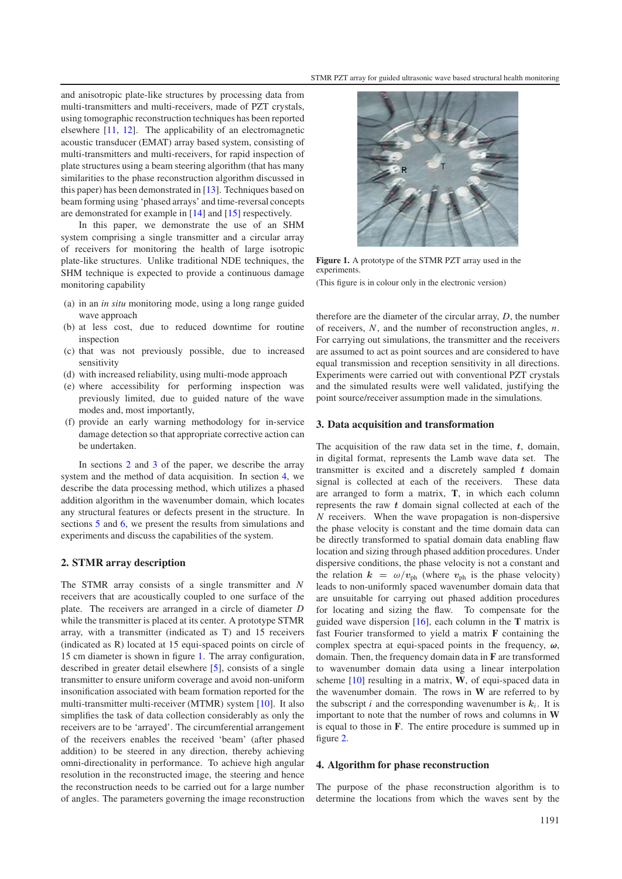and anisotropic plate-like structures by processing data from multi-transmitters and multi-receivers, made of PZT crystals, using tomographic reconstruction techniques has been reported elsewhere [\[11,](#page-6-6) [12\]](#page-6-7). The applicability of an electromagnetic acoustic transducer (EMAT) array based system, consisting of multi-transmitters and multi-receivers, for rapid inspection of plate structures using a beam steering algorithm (that has many similarities to the phase reconstruction algorithm discussed in this paper) has been demonstrated in [\[13\]](#page-6-8). Techniques based on beam forming using 'phased arrays' and time-reversal concepts are demonstrated for example in [\[14\]](#page-6-9) and [\[15\]](#page-6-10) respectively.

In this paper, we demonstrate the use of an SHM system comprising a single transmitter and a circular array of receivers for monitoring the health of large isotropic plate-like structures. Unlike traditional NDE techniques, the SHM technique is expected to provide a continuous damage monitoring capability

- (a) in an *in situ* monitoring mode, using a long range guided wave approach
- (b) at less cost, due to reduced downtime for routine inspection
- (c) that was not previously possible, due to increased sensitivity
- (d) with increased reliability, using multi-mode approach
- (e) where accessibility for performing inspection was previously limited, due to guided nature of the wave modes and, most importantly,
- (f) provide an early warning methodology for in-service damage detection so that appropriate corrective action can be undertaken.

<span id="page-1-0"></span>In sections [2](#page-1-0) and [3](#page-1-1) of the paper, we describe the array system and the method of data acquisition. In section [4,](#page-1-2) we describe the data processing method, which utilizes a phased addition algorithm in the wavenumber domain, which locates any structural features or defects present in the structure. In sections [5](#page-2-0) and [6,](#page-4-0) we present the results from simulations and experiments and discuss the capabilities of the system.

#### **2. STMR array description**

The STMR array consists of a single transmitter and *N* receivers that are acoustically coupled to one surface of the plate. The receivers are arranged in a circle of diameter *D* while the transmitter is placed at its center. A prototype STMR array, with a transmitter (indicated as T) and 15 receivers (indicated as R) located at 15 equi-spaced points on circle of 15 cm diameter is shown in figure [1.](#page-1-3) The array configuration, described in greater detail elsewhere [\[5\]](#page-6-4), consists of a single transmitter to ensure uniform coverage and avoid non-uniform insonification associated with beam formation reported for the multi-transmitter multi-receiver (MTMR) system [\[10\]](#page-6-5). It also simplifies the task of data collection considerably as only the receivers are to be 'arrayed'. The circumferential arrangement of the receivers enables the received 'beam' (after phased addition) to be steered in any direction, thereby achieving omni-directionality in performance. To achieve high angular resolution in the reconstructed image, the steering and hence the reconstruction needs to be carried out for a large number of angles. The parameters governing the image reconstruction

<span id="page-1-3"></span>

**Figure 1.** A prototype of the STMR PZT array used in the experiments.

(This figure is in colour only in the electronic version)

<span id="page-1-1"></span>therefore are the diameter of the circular array, *D*, the number of receivers, *N*, and the number of reconstruction angles, *n*. For carrying out simulations, the transmitter and the receivers are assumed to act as point sources and are considered to have equal transmission and reception sensitivity in all directions. Experiments were carried out with conventional PZT crystals and the simulated results were well validated, justifying the point source/receiver assumption made in the simulations.

#### **3. Data acquisition and transformation**

The acquisition of the raw data set in the time, *t*, domain, in digital format, represents the Lamb wave data set. The transmitter is excited and a discretely sampled *t* domain signal is collected at each of the receivers. These data are arranged to form a matrix, **T**, in which each column represents the raw *t* domain signal collected at each of the *N* receivers. When the wave propagation is non-dispersive the phase velocity is constant and the time domain data can be directly transformed to spatial domain data enabling flaw location and sizing through phased addition procedures. Under dispersive conditions, the phase velocity is not a constant and the relation  $k = \omega/v_{ph}$  (where  $v_{ph}$  is the phase velocity) leads to non-uniformly spaced wavenumber domain data that are unsuitable for carrying out phased addition procedures for locating and sizing the flaw. To compensate for the guided wave dispersion [\[16\]](#page-6-11), each column in the **T** matrix is fast Fourier transformed to yield a matrix **F** containing the complex spectra at equi-spaced points in the frequency, *ω*, domain. Then, the frequency domain data in **F** are transformed to wavenumber domain data using a linear interpolation scheme [\[10\]](#page-6-5) resulting in a matrix, **W**, of equi-spaced data in the wavenumber domain. The rows in **W** are referred to by the subscript *i* and the corresponding wavenumber is  $k_i$ . It is important to note that the number of rows and columns in **W** is equal to those in **F**. The entire procedure is summed up in figure [2.](#page-2-1)

#### <span id="page-1-2"></span>**4. Algorithm for phase reconstruction**

The purpose of the phase reconstruction algorithm is to determine the locations from which the waves sent by the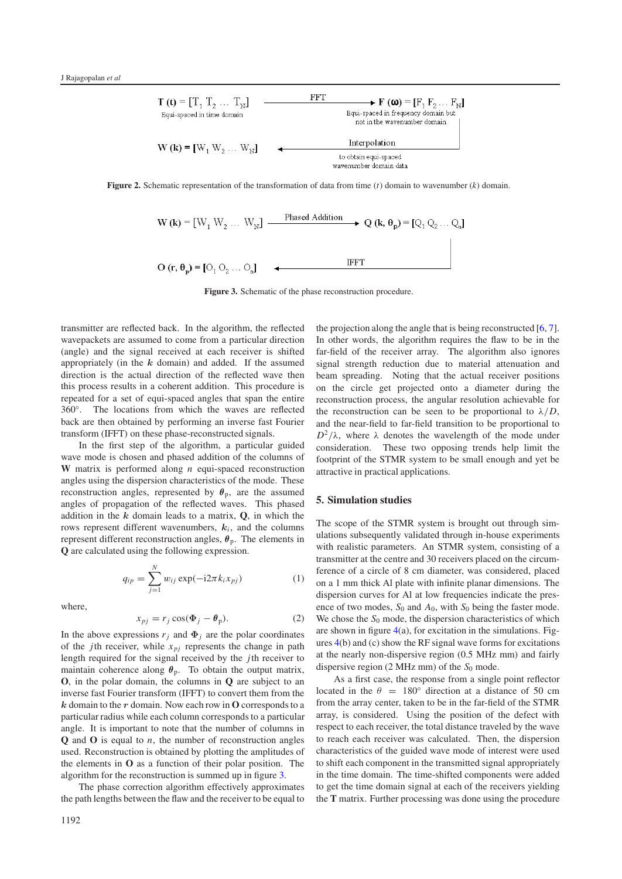<span id="page-2-1"></span>

<span id="page-2-2"></span>**Figure 2.** Schematic representation of the transformation of data from time (*t*) domain to wavenumber (*k*) domain.



**Figure 3.** Schematic of the phase reconstruction procedure.

transmitter are reflected back. In the algorithm, the reflected wavepackets are assumed to come from a particular direction (angle) and the signal received at each receiver is shifted appropriately (in the *k* domain) and added. If the assumed direction is the actual direction of the reflected wave then this process results in a coherent addition. This procedure is repeated for a set of equi-spaced angles that span the entire 360◦. The locations from which the waves are reflected back are then obtained by performing an inverse fast Fourier transform (IFFT) on these phase-reconstructed signals.

In the first step of the algorithm, a particular guided wave mode is chosen and phased addition of the columns of **W** matrix is performed along *n* equi-spaced reconstruction angles using the dispersion characteristics of the mode. These reconstruction angles, represented by  $\theta_{\rm p}$ , are the assumed angles of propagation of the reflected waves. This phased addition in the  $k$  domain leads to a matrix,  $Q$ , in which the rows represent different wavenumbers,  $k_i$ , and the columns represent different reconstruction angles,  $\theta_p$ . The elements in **Q** are calculated using the following expression.

$$
q_{ip} = \sum_{j=1}^{N} w_{ij} \exp(-i2\pi k_i x_{pj})
$$
 (1)

where,

$$
x_{pj} = r_j \cos(\Phi_j - \theta_p). \tag{2}
$$

In the above expressions  $r_j$  and  $\Phi_j$  are the polar coordinates of the *j*th receiver, while  $x_{pj}$  represents the change in path length required for the signal received by the *j*th receiver to maintain coherence along  $\theta_p$ . To obtain the output matrix, **O**, in the polar domain, the columns in **Q** are subject to an inverse fast Fourier transform (IFFT) to convert them from the *k* domain to the *r* domain. Now each row in **O** corresponds to a particular radius while each column corresponds to a particular angle. It is important to note that the number of columns in **Q** and **O** is equal to *n*, the number of reconstruction angles used. Reconstruction is obtained by plotting the amplitudes of the elements in **O** as a function of their polar position. The algorithm for the reconstruction is summed up in figure [3.](#page-2-2)

The phase correction algorithm effectively approximates the path lengths between the flaw and the receiver to be equal to

the projection along the angle that is being reconstructed  $[6, 7]$  $[6, 7]$  $[6, 7]$ . In other words, the algorithm requires the flaw to be in the far-field of the receiver array. The algorithm also ignores signal strength reduction due to material attenuation and beam spreading. Noting that the actual receiver positions on the circle get projected onto a diameter during the reconstruction process, the angular resolution achievable for the reconstruction can be seen to be proportional to  $\lambda/D$ , and the near-field to far-field transition to be proportional to  $D^2/\lambda$ , where  $\lambda$  denotes the wavelength of the mode under consideration. These two opposing trends help limit the footprint of the STMR system to be small enough and yet be attractive in practical applications.

#### <span id="page-2-0"></span>**5. Simulation studies**

The scope of the STMR system is brought out through simulations subsequently validated through in-house experiments with realistic parameters. An STMR system, consisting of a transmitter at the centre and 30 receivers placed on the circumference of a circle of 8 cm diameter, was considered, placed on a 1 mm thick Al plate with infinite planar dimensions. The dispersion curves for Al at low frequencies indicate the presence of two modes,  $S_0$  and  $A_0$ , with  $S_0$  being the faster mode. We chose the  $S_0$  mode, the dispersion characteristics of which are shown in figure  $4(a)$  $4(a)$ , for excitation in the simulations. Figures [4\(](#page-3-0)b) and (c) show the RF signal wave forms for excitations at the nearly non-dispersive region (0.5 MHz mm) and fairly dispersive region  $(2 \text{ MHz mm})$  of the  $S_0$  mode.

As a first case, the response from a single point reflector located in the  $\theta = 180^\circ$  direction at a distance of 50 cm from the array center, taken to be in the far-field of the STMR array, is considered. Using the position of the defect with respect to each receiver, the total distance traveled by the wave to reach each receiver was calculated. Then, the dispersion characteristics of the guided wave mode of interest were used to shift each component in the transmitted signal appropriately in the time domain. The time-shifted components were added to get the time domain signal at each of the receivers yielding the **T** matrix. Further processing was done using the procedure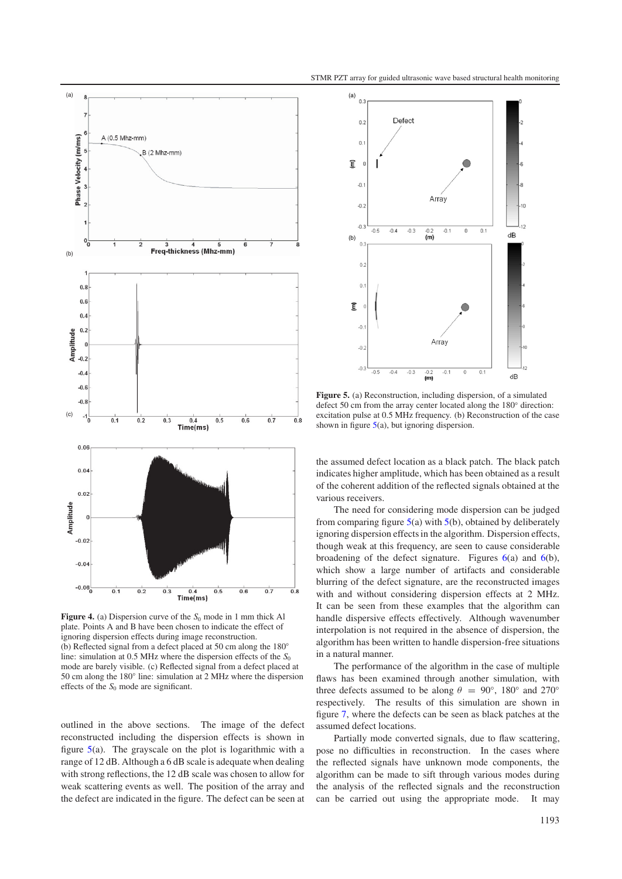<span id="page-3-0"></span>

**Figure 4.** (a) Dispersion curve of the  $S_0$  mode in 1 mm thick Al plate. Points A and B have been chosen to indicate the effect of ignoring dispersion effects during image reconstruction. (b) Reflected signal from a defect placed at 50 cm along the 180◦ line: simulation at 0.5 MHz where the dispersion effects of the  $S_0$ mode are barely visible. (c) Reflected signal from a defect placed at 50 cm along the 180◦ line: simulation at 2 MHz where the dispersion effects of the  $S_0$  mode are significant.

outlined in the above sections. The image of the defect reconstructed including the dispersion effects is shown in figure [5\(](#page-3-1)a). The grayscale on the plot is logarithmic with a range of 12 dB. Although a 6 dB scale is adequate when dealing with strong reflections, the 12 dB scale was chosen to allow for weak scattering events as well. The position of the array and the defect are indicated in the figure. The defect can be seen at

<span id="page-3-1"></span>

**Figure 5.** (a) Reconstruction, including dispersion, of a simulated defect 50 cm from the array center located along the 180◦ direction: excitation pulse at 0.5 MHz frequency. (b) Reconstruction of the case shown in figure  $5(a)$  $5(a)$ , but ignoring dispersion.

the assumed defect location as a black patch. The black patch indicates higher amplitude, which has been obtained as a result of the coherent addition of the reflected signals obtained at the various receivers.

The need for considering mode dispersion can be judged from comparing figure  $5(a)$  $5(a)$  with  $5(b)$ , obtained by deliberately ignoring dispersion effects in the algorithm. Dispersion effects, though weak at this frequency, are seen to cause considerable broadening of the defect signature. Figures  $6(a)$  $6(a)$  and  $6(b)$ , which show a large number of artifacts and considerable blurring of the defect signature, are the reconstructed images with and without considering dispersion effects at 2 MHz. It can be seen from these examples that the algorithm can handle dispersive effects effectively. Although wavenumber interpolation is not required in the absence of dispersion, the algorithm has been written to handle dispersion-free situations in a natural manner.

The performance of the algorithm in the case of multiple flaws has been examined through another simulation, with three defects assumed to be along  $\theta = 90^{\circ}$ , 180 $^{\circ}$  and 270 $^{\circ}$ respectively. The results of this simulation are shown in figure [7,](#page-4-2) where the defects can be seen as black patches at the assumed defect locations.

Partially mode converted signals, due to flaw scattering, pose no difficulties in reconstruction. In the cases where the reflected signals have unknown mode components, the algorithm can be made to sift through various modes during the analysis of the reflected signals and the reconstruction can be carried out using the appropriate mode. It may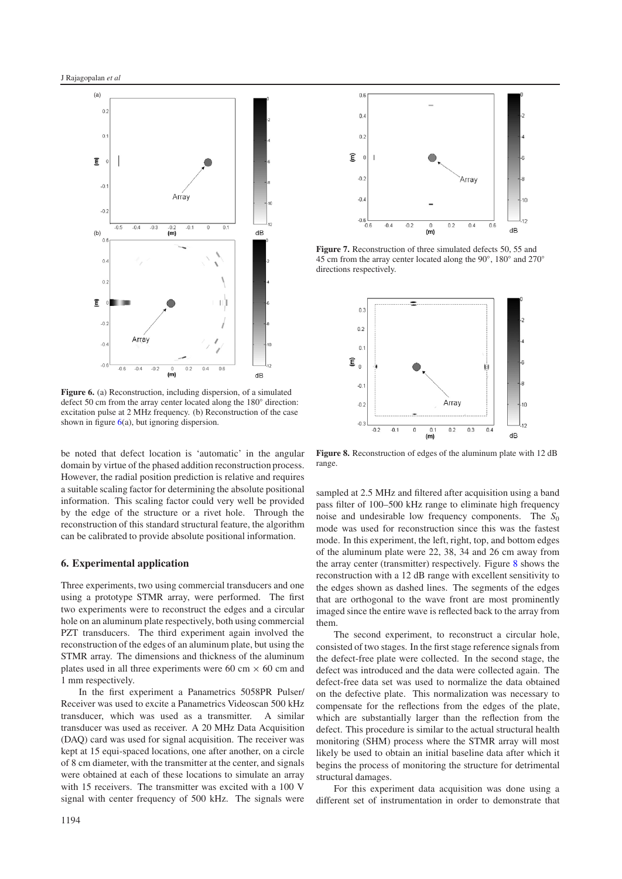<span id="page-4-1"></span>

**Figure 6.** (a) Reconstruction, including dispersion, of a simulated defect 50 cm from the array center located along the 180◦ direction: excitation pulse at 2 MHz frequency. (b) Reconstruction of the case shown in figure  $6(a)$  $6(a)$ , but ignoring dispersion.

<span id="page-4-0"></span>be noted that defect location is 'automatic' in the angular domain by virtue of the phased addition reconstruction process. However, the radial position prediction is relative and requires a suitable scaling factor for determining the absolute positional information. This scaling factor could very well be provided by the edge of the structure or a rivet hole. Through the reconstruction of this standard structural feature, the algorithm can be calibrated to provide absolute positional information.

#### **6. Experimental application**

Three experiments, two using commercial transducers and one using a prototype STMR array, were performed. The first two experiments were to reconstruct the edges and a circular hole on an aluminum plate respectively, both using commercial PZT transducers. The third experiment again involved the reconstruction of the edges of an aluminum plate, but using the STMR array. The dimensions and thickness of the aluminum plates used in all three experiments were 60 cm  $\times$  60 cm and 1 mm respectively.

In the first experiment a Panametrics 5058PR Pulser/ Receiver was used to excite a Panametrics Videoscan 500 kHz transducer, which was used as a transmitter. A similar transducer was used as receiver. A 20 MHz Data Acquisition (DAQ) card was used for signal acquisition. The receiver was kept at 15 equi-spaced locations, one after another, on a circle of 8 cm diameter, with the transmitter at the center, and signals were obtained at each of these locations to simulate an array with 15 receivers. The transmitter was excited with a 100 V signal with center frequency of 500 kHz. The signals were

<span id="page-4-2"></span>

<span id="page-4-3"></span>**Figure 7.** Reconstruction of three simulated defects 50, 55 and 45 cm from the array center located along the 90◦, 180◦ and 270◦ directions respectively.



**Figure 8.** Reconstruction of edges of the aluminum plate with 12 dB range.

sampled at 2.5 MHz and filtered after acquisition using a band pass filter of 100–500 kHz range to eliminate high frequency noise and undesirable low frequency components. The  $S_0$ mode was used for reconstruction since this was the fastest mode. In this experiment, the left, right, top, and bottom edges of the aluminum plate were 22, 38, 34 and 26 cm away from the array center (transmitter) respectively. Figure [8](#page-4-3) shows the reconstruction with a 12 dB range with excellent sensitivity to the edges shown as dashed lines. The segments of the edges that are orthogonal to the wave front are most prominently imaged since the entire wave is reflected back to the array from them.

The second experiment, to reconstruct a circular hole, consisted of two stages. In the first stage reference signals from the defect-free plate were collected. In the second stage, the defect was introduced and the data were collected again. The defect-free data set was used to normalize the data obtained on the defective plate. This normalization was necessary to compensate for the reflections from the edges of the plate, which are substantially larger than the reflection from the defect. This procedure is similar to the actual structural health monitoring (SHM) process where the STMR array will most likely be used to obtain an initial baseline data after which it begins the process of monitoring the structure for detrimental structural damages.

For this experiment data acquisition was done using a different set of instrumentation in order to demonstrate that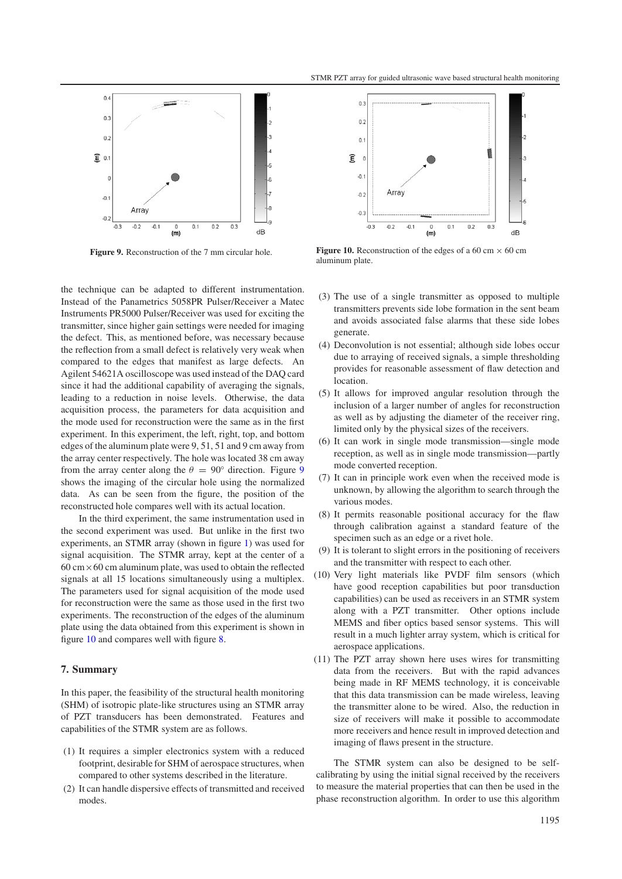<span id="page-5-0"></span>

**Figure 9.** Reconstruction of the 7 mm circular hole.

the technique can be adapted to different instrumentation. Instead of the Panametrics 5058PR Pulser/Receiver a Matec Instruments PR5000 Pulser/Receiver was used for exciting the transmitter, since higher gain settings were needed for imaging the defect. This, as mentioned before, was necessary because the reflection from a small defect is relatively very weak when compared to the edges that manifest as large defects. An Agilent 54621A oscilloscope was used instead of the DAQ card since it had the additional capability of averaging the signals, leading to a reduction in noise levels. Otherwise, the data acquisition process, the parameters for data acquisition and the mode used for reconstruction were the same as in the first experiment. In this experiment, the left, right, top, and bottom edges of the aluminum plate were 9, 51, 51 and 9 cm away from the array center respectively. The hole was located 38 cm away from the array center along the  $\theta = 90^\circ$  $\theta = 90^\circ$  $\theta = 90^\circ$  direction. Figure 9 shows the imaging of the circular hole using the normalized data. As can be seen from the figure, the position of the reconstructed hole compares well with its actual location.

In the third experiment, the same instrumentation used in the second experiment was used. But unlike in the first two experiments, an STMR array (shown in figure [1\)](#page-1-3) was used for signal acquisition. The STMR array, kept at the center of a  $60 \text{ cm} \times 60 \text{ cm}$  aluminum plate, was used to obtain the reflected signals at all 15 locations simultaneously using a multiplex. The parameters used for signal acquisition of the mode used for reconstruction were the same as those used in the first two experiments. The reconstruction of the edges of the aluminum plate using the data obtained from this experiment is shown in figure [10](#page-5-1) and compares well with figure [8.](#page-4-3)

#### **7. Summary**

In this paper, the feasibility of the structural health monitoring (SHM) of isotropic plate-like structures using an STMR array of PZT transducers has been demonstrated. Features and capabilities of the STMR system are as follows.

- (1) It requires a simpler electronics system with a reduced footprint, desirable for SHM of aerospace structures, when compared to other systems described in the literature.
- (2) It can handle dispersive effects of transmitted and received modes.

<span id="page-5-1"></span>

**Figure 10.** Reconstruction of the edges of a 60 cm  $\times$  60 cm aluminum plate.

- (3) The use of a single transmitter as opposed to multiple transmitters prevents side lobe formation in the sent beam and avoids associated false alarms that these side lobes generate.
- (4) Deconvolution is not essential; although side lobes occur due to arraying of received signals, a simple thresholding provides for reasonable assessment of flaw detection and location.
- (5) It allows for improved angular resolution through the inclusion of a larger number of angles for reconstruction as well as by adjusting the diameter of the receiver ring, limited only by the physical sizes of the receivers.
- (6) It can work in single mode transmission—single mode reception, as well as in single mode transmission—partly mode converted reception.
- (7) It can in principle work even when the received mode is unknown, by allowing the algorithm to search through the various modes.
- (8) It permits reasonable positional accuracy for the flaw through calibration against a standard feature of the specimen such as an edge or a rivet hole.
- (9) It is tolerant to slight errors in the positioning of receivers and the transmitter with respect to each other.
- (10) Very light materials like PVDF film sensors (which have good reception capabilities but poor transduction capabilities) can be used as receivers in an STMR system along with a PZT transmitter. Other options include MEMS and fiber optics based sensor systems. This will result in a much lighter array system, which is critical for aerospace applications.
- (11) The PZT array shown here uses wires for transmitting data from the receivers. But with the rapid advances being made in RF MEMS technology, it is conceivable that this data transmission can be made wireless, leaving the transmitter alone to be wired. Also, the reduction in size of receivers will make it possible to accommodate more receivers and hence result in improved detection and imaging of flaws present in the structure.

The STMR system can also be designed to be selfcalibrating by using the initial signal received by the receivers to measure the material properties that can then be used in the phase reconstruction algorithm. In order to use this algorithm